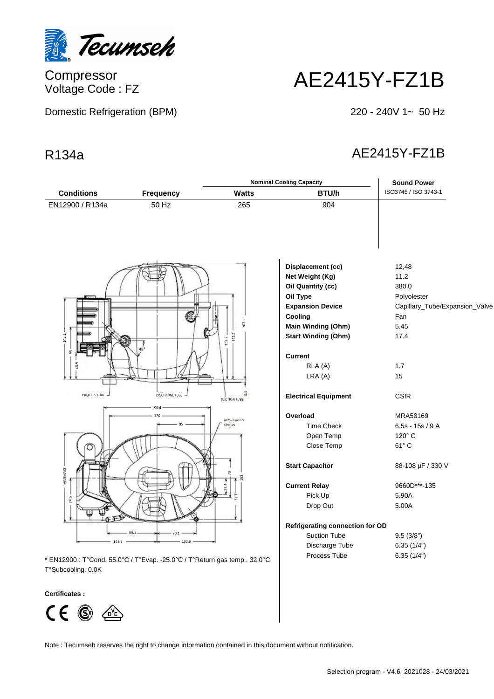

Compressor Voltage Code : FZ

Domestic Refrigeration (BPM)

# AE2415Y-FZ1B

220 - 240V 1~ 50 Hz

# R134a AE2415Y-FZ1B

|                                                  |                                                                                                                  | <b>Nominal Cooling Capacity</b>                                   |                                                                                                                                                                                                                                        | <b>Sound Power</b>                                                                                                                                        |
|--------------------------------------------------|------------------------------------------------------------------------------------------------------------------|-------------------------------------------------------------------|----------------------------------------------------------------------------------------------------------------------------------------------------------------------------------------------------------------------------------------|-----------------------------------------------------------------------------------------------------------------------------------------------------------|
| <b>Conditions</b>                                | <b>Frequency</b>                                                                                                 | <b>Watts</b>                                                      | BTU/h                                                                                                                                                                                                                                  | ISO3745 / ISO 3743-1                                                                                                                                      |
| EN12900 / R134a                                  | 50 Hz                                                                                                            | 265                                                               | 904                                                                                                                                                                                                                                    |                                                                                                                                                           |
| 145.1<br>g<br>PROCESS TUBE                       | DISCHARGE TUBE                                                                                                   | 207.1<br>152.5<br>131.2<br>5.5                                    | Displacement (cc)<br>Net Weight (Kg)<br>Oil Quantity (cc)<br>Oil Type<br><b>Expansion Device</b><br>Cooling<br>Main Winding (Ohm)<br><b>Start Winding (Ohm)</b><br><b>Current</b><br>RLA (A)<br>LRA (A)<br><b>Electrical Equipment</b> | 12,48<br>11.2<br>380.0<br>Polyolester<br>Capillary_Tube/Expansion_Valve<br>Fan<br>5.45<br>17.4<br>1.7<br>15<br><b>CSIR</b>                                |
| 160.5MAXI<br>74.6<br>143.2<br>T°Subcooling. 0.0K | 190.4<br>170<br>89.1<br>70.1<br>103.9<br>* EN12900 : T°Cond. 55.0°C / T°Evap. -25.0°C / T°Return gas temp 32.0°C | <b>SUCTION TUBE</b><br>4 trous Ø16.5<br>4 holes<br>$\overline{2}$ | Overload<br><b>Time Check</b><br>Open Temp<br>Close Temp<br><b>Start Capacitor</b><br><b>Current Relay</b><br>Pick Up<br>Drop Out<br><b>Refrigerating connection for OD</b><br><b>Suction Tube</b><br>Discharge Tube<br>Process Tube   | MRA58169<br>$6.5s - 15s / 9A$<br>120° C<br>$61^{\circ}$ C<br>88-108 µF / 330 V<br>9660D***-135<br>5.90A<br>5.00A<br>9.5(3/8")<br>6.35(1/4")<br>6.35(1/4") |

## **Certificates :**



Note : Tecumseh reserves the right to change information contained in this document without notification.